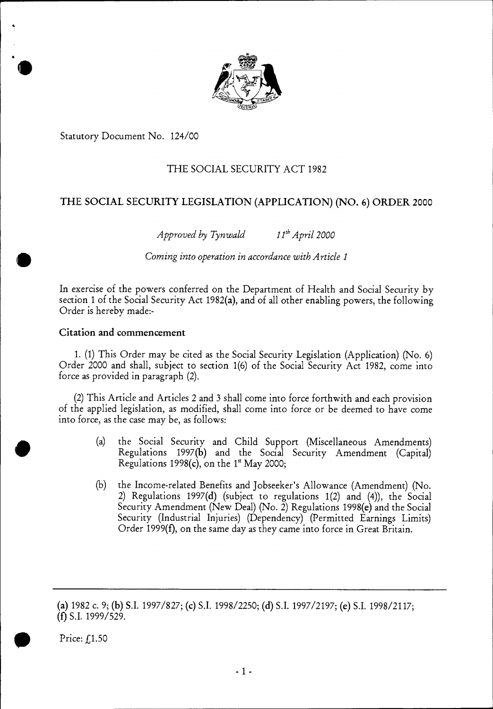

Statutory Document No. 124/00

# THE SOCIAL SECURITY ACT 1982

# THE SOCIAL SECURITY LEGISLATION (APPLICATION) (NO. 6) ORDER 2000

*Approved by Tynwald 11thApril 2000* 

**III** *Coming into operation in accordance with Article 1* 

In exercise of the powers conferred on the Department of Health and Social Security by section 1 of the Social Security Act 1982(a), and of all other enabling powers, the following Order is hereby made:-

# Citation and commencement

1. (1) This Order may be cited as the Social Security Legislation (Application) (No. 6) Order 2000 and shall, subject to section 1(6) of the Social Security Act 1982, come into force as provided in paragraph (2).

(2) This Article and Articles 2 and 3 shall come into force forthwith and each provision of the applied legislation, as modified, shall come into force or be deemed to have come into force, as the case may be, as follows:

- (a) the Social Security and Child Support (Miscellaneous Amendments) Regulations 1997(b) and the Social Security Amendment (Capital) Regulations 1998(c), on the  $1<sup>st</sup>$  May 2000;
- the Income-related Benefits and Jobseeker's Allowance (Amendment) (No. 2) Regulations 1997(d) (subject to regulations 1(2) and (4)), the Social Security Amendment (New Deal) (No. 2) Regulations 1998(e) and the Social Security (Industrial Injuries) (Dependency) (Permitted Earnings Limits) Order 1999(f), on the same day as they came into force in Great Britain. (b)

**Price:**  $f(1.50)$ 

*•* 

<sup>(</sup>a) 1982 c. 9; (b) S.I. 1997/827; (c) S.I. 1998/2250; (d) S.I. 1997/2197; (e) S.I. 1998/2117; (f) S.I. 1999/529.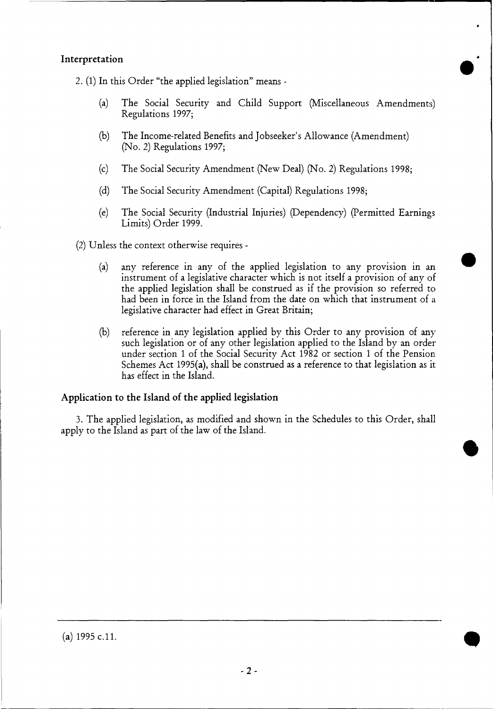# Interpretation

2. (1) In this Order "the applied legislation" means -

- (a) The Social Security and Child Support (Miscellaneous Amendments) Regulations 1997;
- (b) The Income-related Benefits and Jobseeker's Allowance (Amendment) (No. 2) Regulations 1997;
- (c) The Social Security Amendment (New Deal) (No. 2) Regulations 1998;
- (d) The Social Security Amendment (Capital) Regulations 1998;
- (e) The Social Security (Industrial Injuries) (Dependency) (Permitted Earnings Limits) Order 1999.

(2) Unless the context otherwise requires -

- (a) any reference in any of the applied legislation to any provision in an instrument of a legislative character which is not itself a provision of any of the applied legislation shall be construed as if the provision so referred to had been in force in the Island from the date on which that instrument of a legislative character had effect in Great Britain;
- (b) reference in any legislation applied by this Order to any provision of any such legislation or of any other legislation applied to the Island by an order under section 1 of the Social Security Act 1982 or section 1 of the Pension . Schemes Act 1995(a), shall be construed as a reference to that legislation as it has effect in the Island.

# Application to the Island of the applied legislation

3. The applied legislation, as modified and shown in the Schedules to this Order, shall apply to the Island as part of the law of the Island.

(a) 1995 c.11.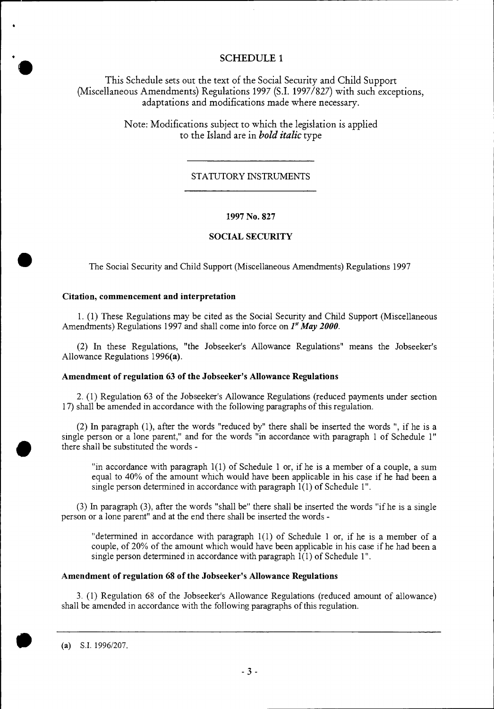• **SCHEDULE 1**<br>
This Schedule sets out the text of the Social Security and Child Support (Miscellaneous Amendments) Regulations 1997 (S.I. 1997/827) with such exceptions, adaptations and modifications made where necessary.

> Note: Modifications subject to which the legislation is applied to the Island are in *bold italic* type

## STATUTORY INSTRUMENTS

## 1997 No. 827

## **SOCIAL SECURITY**

The Social Security and Child Support (Miscellaneous Amendments) Regulations 1997

#### **Citation, commencement and interpretation**

•

•

1. (1) These Regulations may be cited as the Social Security and Child Support (Miscellaneous Amendments) Regulations 1997 and shall come into force on  $I^{\alpha}$  May 2000.

(2) In these Regulations, "the Jobseeker's Allowance Regulations" means the Jobseeker's Allowance Regulations 1996(a).

#### **Amendment of regulation 63 of the Jobseeker's Allowance Regulations**

2. (1) Regulation 63 of the Jobseeker's Allowance Regulations (reduced payments under section 17) shall be amended in accordance with the following paragraphs of this regulation.

(2) In paragraph (1), after the words "reduced by" there shall be inserted the words ", if he is a single person or a lone parent," and for the words "in accordance with paragraph 1 of Schedule 1" there shall be substituted the words -

"in accordance with paragraph 1(1) of Schedule 1 or, if he is a member of a couple, a sum equal to 40% of the amount which would have been applicable in his case if he had been a single person determined in accordance with paragraph  $1(1)$  of Schedule 1".

(3) In paragraph (3), after the words "shall be" there shall be inserted the words "if he is a single person or a lone parent" and at the end there shall be inserted the words -

"determined in accordance with paragraph 1(1) of Schedule 1 or, if he is a member of a couple, of 20% of the amount which would have been applicable in his case if he had been a single person determined in accordance with paragraph 1(1) of Schedule 1".

## **Amendment of regulation 68 of the Jobseeker's Allowance Regulations**

3. (1) Regulation 68 of the Jobseeker's Allowance Regulations (reduced amount of allowance) shall be amended in accordance with the following paragraphs of this regulation.

(a) S.I. 1996/207.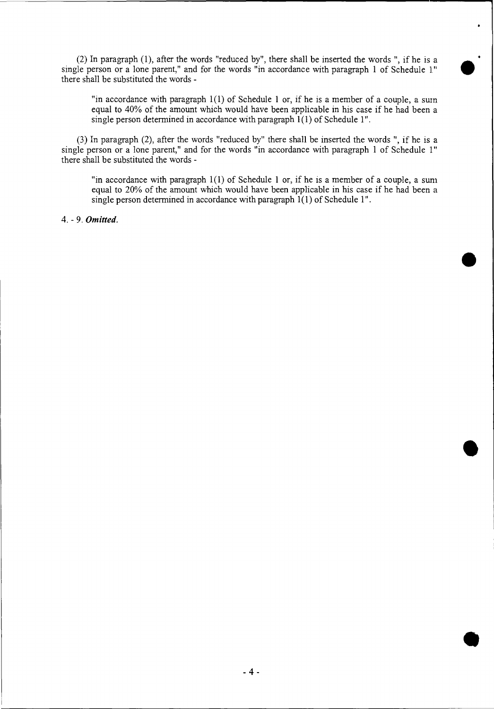(2) In paragraph (1), after the words "reduced by", there shall be inserted the words ", if he is a single person or a lone parent," and for the words "in accordance with paragraph 1 of Schedule 1" there shall be substituted the words -

"in accordance with paragraph 1(1) of Schedule 1 or, if he is a member of a couple, a sum equal to 40% of the amount which would have been applicable in his case if he had been a single person determined in accordance with paragraph  $1(1)$  of Schedule 1".

 $\bullet$ 

 $\bullet$ 

(3) In paragraph (2), after the words "reduced by" there shall be inserted the words ", if he is a single person or a lone parent," and for the words "in accordance with paragraph 1 of Schedule 1" there shall be substituted the words -

"in accordance with paragraph  $1(1)$  of Schedule 1 or, if he is a member of a couple, a sum equal to 20% of the amount which would have been applicable in his case if he had been a single person determined in accordance with paragraph 1(1) of Schedule 1".

4. - 9. *Omitted.*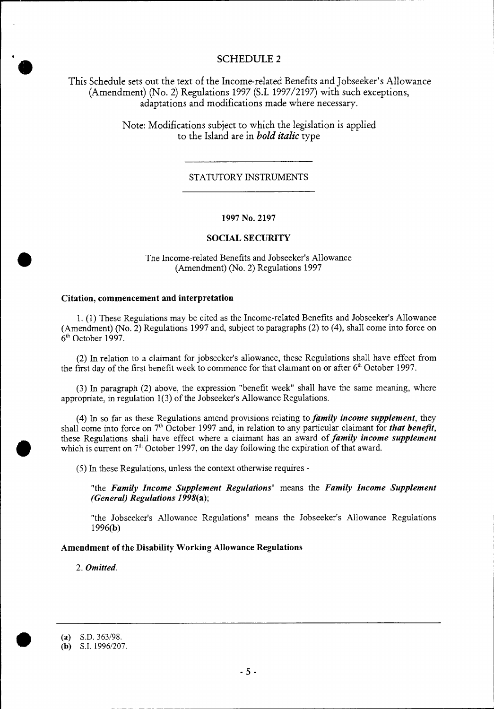**SCHEDULE 2**<br>
This Schedule sets out the text of the Income-related Benefits and Jobseeker's Allowance (Amendment) (No. 2) Regulations 1997 (S.I. 1997/2197) with such exceptions, adaptations and modifications made where necessary.

> Note: Modifications subject to which the legislation is applied to the Island are in *bold italic* type

#### STATUTORY INSTRUMENTS

#### **1997 No. 2197**

## **SOCIAL SECURITY**

The Income-related Benefits and Jobseeker's Allowance (Amendment) (No. 2) Regulations 1997

## **Citation, commencement and interpretation**

•

•

1. (1) These Regulations may be cited as the Income-related Benefits and Jobseeker's Allowance (Amendment) (No. 2) Regulations 1997 and, subject to paragraphs (2) to (4), shall come into force on 6<sup>th</sup> October 1997.

(2) In relation to a claimant for jobseeker's allowance, these Regulations shall have effect from the first day of the first benefit week to commence for that claimant on or after  $6<sup>th</sup>$  October 1997.

(3) In paragraph (2) above, the expression "benefit week" shall have the same meaning, where appropriate, in regulation 1(3) of the Jobseeker's Allowance Regulations.

(4) In so far as these Regulations amend provisions relating to *family income supplement,* they shall come into force on  $7<sup>th</sup>$  October 1997 and, in relation to any particular claimant for *that benefit*, these Regulations shall have effect where a claimant has an award of *family income supplement*  which is current on  $7<sup>th</sup>$  October 1997, on the day following the expiration of that award.

(5) In these Regulations, unless the context otherwise requires -

"the *Family Income Supplement Regulations"* means the *Family Income Supplement (General) Regulations 1998(a);* 

"the Jobseeker's Allowance Regulations" means the Jobseeker's Allowance Regulations 1996(b)

#### **Amendment of the Disability Working Allowance Regulations**

2. *Omitted.* 

<sup>(</sup>a) S.D. 363/98.

<sup>(</sup>b) S.I. 1996/207.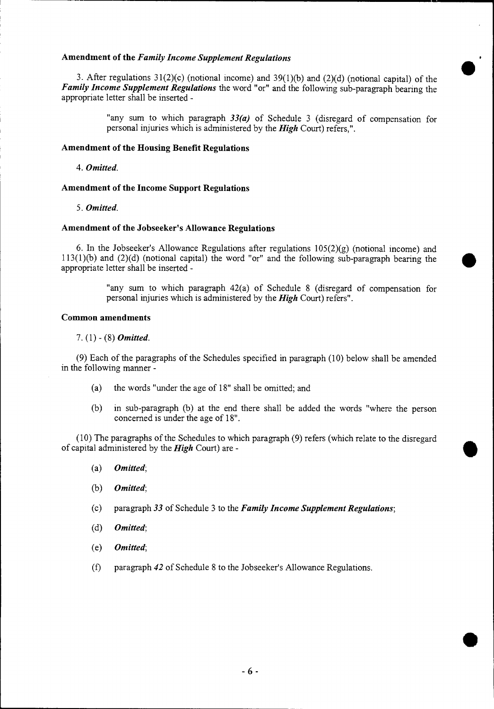#### **Amendment of the** *Family Income Supplement Regulations*

3. After regulations 31(2)(c) (notional income) and 39(1)(b) and (2)(d) (notional capital) of the *Family Income Supplement Regulations* the word "or" and the following sub-paragraph bearing the appropriate letter shall be inserted -

> "any sum to which paragraph *33(a)* of Schedule 3 (disregard of compensation for personal injuries which is administered by the *High* Court) refers,".

#### **Amendment of the Housing Benefit Regulations**

*4. Omitted.* 

## **Amendment of the Income Support Regulations**

*5. Omitted.* 

# **Amendment of the Jobseeker's Allowance Regulations**

6. In the Jobseeker's Allowance Regulations after regulations  $105(2)(g)$  (notional income) and 113(1)(b) and (2)(d) (notional capital) the word "or" and the following sub-paragraph bearing the appropriate letter shall be inserted -

> "any sum to which paragraph 42(a) of Schedule 8 (disregard of compensation for personal injuries which is administered by the *High* Court) refers".

#### **Common amendments**

#### 7. (1) - (8) *Omitted.*

(9) Each of the paragraphs of the Schedules specified in paragraph (10) below shall be amended in the following manner -

- (a) the words "under the age of 18" shall be omitted; and
- (b) in sub-paragraph (b) at the end there shall be added the words "where the person concerned is under the age of 18".

(10) The paragraphs of the Schedules to which paragraph (9) refers (which relate to the disregard of capital administered by the *High* Court) are -

- *(a) Omitted;*
- *(b) Omitted;*
- (c) paragraph *33* of Schedule 3 to the *Family Income Supplement Regulations;*
- *(d) Omitted;*
- *(e) Omitted;*
- (f) paragraph *42* of Schedule 8 to the Jobseeker's Allowance Regulations.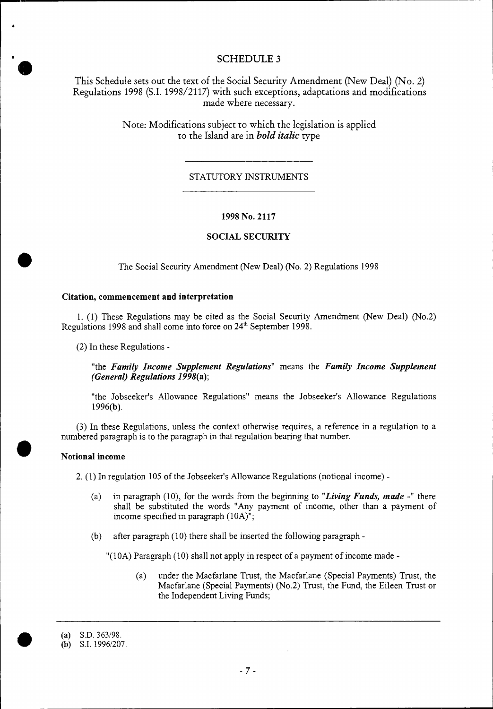# **SCHEDULE 3**

This Schedule sets out the text of the Social Security Amendment (New Deal) (No. 2) Regulations 1998 (S.I. 1998/2117) with such exceptions, adaptations and modifications made where necessary.

> Note: Modifications subject to which the legislation is applied to the Island are in *bold italic* type

# STATUTORY INSTRUMENTS

## **1998 No. 2117**

## **SOCIAL SECURITY**

The Social Security Amendment (New Deal) (No. 2) Regulations 1998

#### **Citation, commencement and interpretation**

1. (1) These Regulations may be cited as the Social Security Amendment (New Deal) (No.2) Regulations 1998 and shall come into force on 24<sup>th</sup> September 1998.

(2) In these Regulations -

"the *Family Income Supplement Regulations"* means the *Family Income Supplement (General) Regulations 1998(a);* 

"the Jobseeker's Allowance Regulations" means the Jobseeker's Allowance Regulations 1996(b).

(3) In these Regulations, unless the context otherwise requires, a reference in a regulation to a numbered paragraph is to the paragraph in that regulation bearing that number.

## **Notional income**

2. (1) In regulation 105 of the Jobseeker's Allowance Regulations (notional income) -

- (a) in paragraph (10), for the words from the beginning to *"Living Funds, made -"* there shall be substituted the words "Any payment of income, other than a payment of income specified in paragraph (10A)";
- (b) after paragraph (10) there shall be inserted the following paragraph -

"(10A) Paragraph (10) shall not apply in respect of a payment of income made -

(a) under the Macfarlane Trust, the Macfarlane (Special Payments) Trust, the Macfarlane (Special Payments) (No.2) Trust, the Fund, the Eileen Trust or the Independent Living Funds;

 $\blacktriangledown$ 

**•** 

•

<sup>(</sup>a) S.D. 363/98.

<sup>(</sup>b) S.I. 1996/207.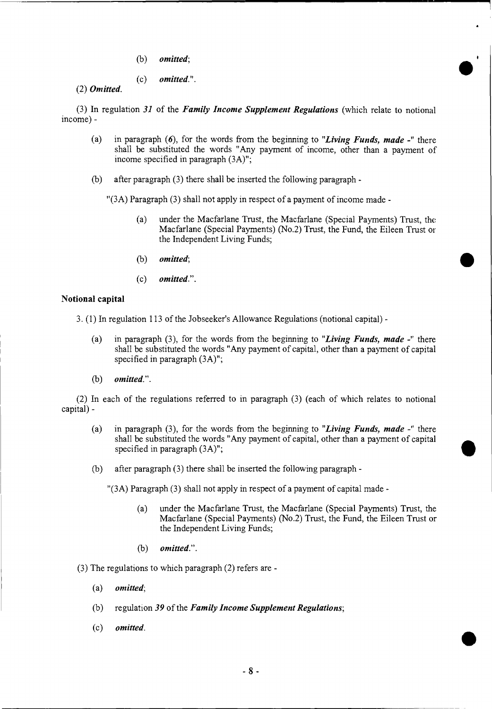- *(b) omitted;*
- *(c) omitted.".*

*(2) Omitted.* 

(3) In regulation *31* of the *Family Income Supplement Regulations* (which relate to notional income) -

- (a) in paragraph *(6),* for the words from the beginning to *"Living Funds, made -"* there shall be substituted the words "Any payment of income, other than a payment of income specified in paragraph (3A)";
- (b) after paragraph (3) there shall be inserted the following paragraph -

"(3A) Paragraph (3) shall not apply in respect of a payment of income made -

- (a) under the Macfarlane Trust, the Macfarlane (Special Payments) Trust, the Macfarlane (Special Payments) (No.2) Trust, the Fund, the Eileen Trust or the Independent Living Funds;
- *(b) omitted;*
- *(c) omitted.".*

#### **Notional capital**

3. (1) In regulation 113 of the Jobseeker's Allowance Regulations (notional capital) -

- (a) in paragraph (3), for the words from the beginning to *"Living Funds, made -"* there shall be substituted the words "Any payment of capital, other than a payment of capital specified in paragraph  $(3A)$ ";
- *(b) omitted.".*

(2) In each of the regulations referred to in paragraph (3) (each of which relates to notional capital) -

- (a) in paragraph (3), for the words from the beginning to *"Living Funds, made -"* there shall be substituted the words "Any payment of capital, other than a payment of capital specified in paragraph (3A)";
- (b) after paragraph (3) there shall be inserted the following paragraph -

"(3A) Paragraph (3) shall not apply in respect of a payment of capital made -

- (a) under the Macfarlane Trust, the Macfarlane (Special Payments) Trust, the Macfarlane (Special Payments) (No.2) Trust, the Fund, the Eileen Trust or the Independent Living Funds;
- *(b) omitted.".*

(3) The regulations to which paragraph (2) refers are -

- *(a) omitted;*
- (b) regulation *39* of the *Family Income Supplement Regulations;*
- *(c) omitted.*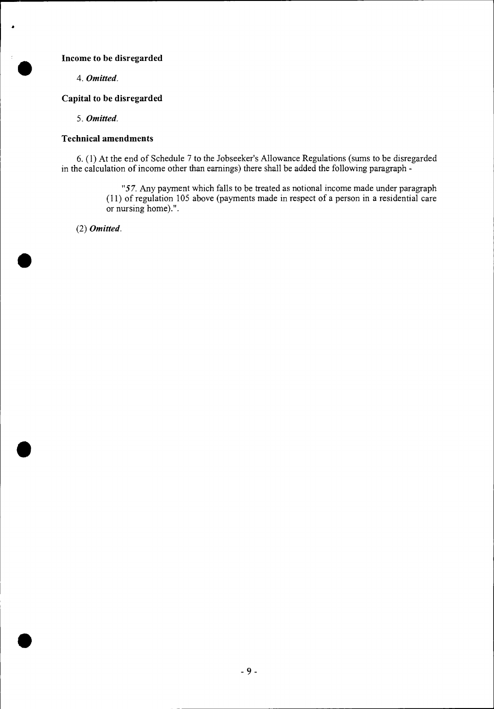# **Income to be disregarded**

*4. Omitted.* 

# **Capital to be disregarded**

*5. Omitted.* 

# **Technical amendments**

6. (1) At the end of Schedule 7 to the Jobseeker's Allowance Regulations (sums to be disregarded in the calculation of income other than earnings) there shall be added the following paragraph -

> *"57.* Any payment which falls to be treated as notional income made under paragraph (11) of regulation 105 above (payments made in respect of a person in a residential care or nursing home).".

(2) *Omitted.* 

•

•

•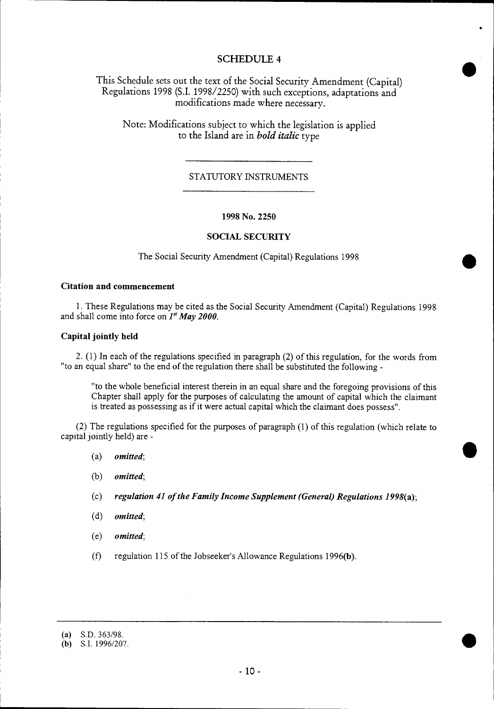# SCHEDULE 4

This Schedule sets out the text of the Social Security Amendment (Capital) Regulations 1998 (S.I. 1998/2250) with such exceptions, adaptations and modifications made where necessary.

Note: Modifications subject to which the legislation is applied to the Island are in *bold italic* type

## STATUTORY INSTRUMENTS

#### **1998 No. 2250**

#### **SOCIAL SECURITY**

The Social Security Amendment (Capital) Regulations 1998

#### **Citation and commencement**

1. These Regulations may be cited as the Social Security Amendment (Capital) Regulations 1998 and shall come into force on *I" May 2000.* 

#### **Capital jointly held**

2. (1) In each of the regulations specified in paragraph (2) of this regulation, for the words from "to an equal share" to the end of the regulation there shall be substituted the following -

"to the whole beneficial interest therein in an equal share and the foregoing provisions of this Chapter shall apply for the purposes of calculating the amount of capital which the claimant is treated as possessing as if it were actual capital which the claimant does possess".

(2) The regulations specified for the purposes of paragraph (1) of this regulation (which relate to capital jointly held) are -

- *(a) omitted;*
- *(b) omitted;*
- *(c) regulation 41 of the Family Income Supplement (General) Regulations 1998(a);*
- *(d) omitted;*
- *(e) omitted;*
- (f) regulation 115 of the Jobseeker's Allowance Regulations 1996(b).
- (a) S.D. 363/98.

<sup>(</sup>b) S.I. 1996/207.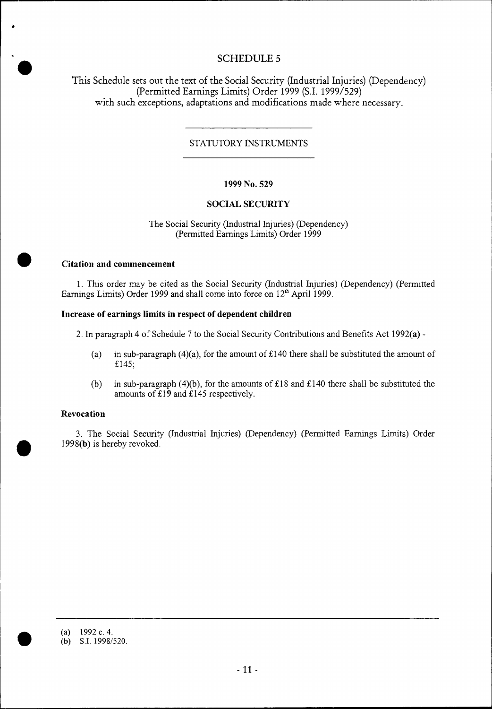# **SCHEDULE 5**

This Schedule sets out the text of the Social Security (Industrial Injuries) (Dependency) (Permitted Earnings Limits) Order 1999 (S.I. 1999/529) with such exceptions, adaptations and modifications made where necessary.

# STATUTORY INSTRUMENTS

## **1999 No. 529**

# **SOCIAL SECURITY**

The Social Security (Industrial Injuries) (Dependency) (Permitted Earnings Limits) Order 1999

#### **Citation and commencement**

1. This order may be cited as the Social Security (Industrial Injuries) (Dependency) (Permitted Earnings Limits) Order 1999 and shall come into force on  $12<sup>th</sup>$  April 1999.

#### **Increase of earnings limits in respect of dependent children**

2. In paragraph 4 of Schedule 7 to the Social Security Contributions and Benefits Act 1992(a) -

- (a) in sub-paragraph (4)(a), for the amount of £140 there shall be substituted the amount of £145;
- (b) in sub-paragraph (4)(b), for the amounts of £18 and £140 there shall be substituted the amounts of £19 and £145 respectively.

## **Revocation**

•

•

3. The Social Security (Industrial Injuries) (Dependency) (Permitted Earnings Limits) Order 1998(b) is hereby revoked.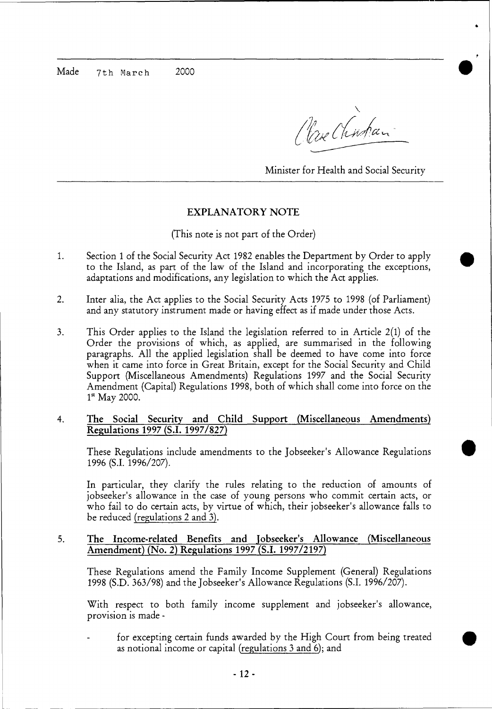Made 7th March 2000

Clase Chinhan

Minister for Health and Social Security

 $\bullet$ 

 $\bullet$ 

# **EXPLANATORY NOTE**

# (This note is not part of the Order)

- 1. Section 1 of the Social Security Act 1982 enables the Department by Order to apply to the Island, as part of the law of the Island and incorporating the exceptions, adaptations and modifications, any legislation to which the Act applies.
- 2. Inter alia, the Act applies to the Social Security Acts 1975 to 1998 (of Parliament) and any statutory instrument made or having effect as if made under those Acts.
- 3. This Order applies to the Island the legislation referred to in Article 2(1) of the Order the provisions of which, as applied, are summarised in the following paragraphs. All the applied legislation shall be deemed to have come into force when it came into force in Great Britain, except for the Social Security and Child Support (Miscellaneous Amendments) Regulations 1997 and the Social Security Amendment (Capital) Regulations 1998, both of which shall come into force on the  $1^{\rm st}$  May 2000.
- **4. The Social Security and Child Support (Miscellaneous Amendments) Regulations 1997 (S.I. 1997/827)**

These Regulations include amendments to the Jobseeker's Allowance Regulations 1996 (S.I. 1996/207).

In particular, they clarify the rules relating to the reduction of amounts of jobseeker's allowance in the case of young persons who commit certain acts, or who fail to do certain acts, by virtue of which, their jobseeker's allowance falls to be reduced (regulations 2 and 3).

**5. The Income-related Benefits and jobseeker's Allowance (Miscellaneous Amendment) (No. 2) Regulations 1997 (S.I. 1997/2197)** 

These Regulations amend the Family Income Supplement (General) Regulations 1998 (S.D. 363/98) and the Jobseeker's Allowance Regulations (S.I. 1996/207).

With respect to both family income supplement and jobseeker's allowance, provision is made -

for excepting certain funds awarded by the High Court from being treated as notional income or capital (regulations 3 and 6); and